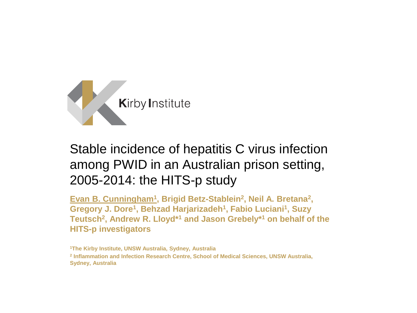

# Stable incidence of hepatitis C virus infection among PWID in an Australian prison setting, 2005-2014: the HITS-p study

Evan B. Cunningham<sup>1</sup>, Brigid Betz-Stablein<sup>2</sup>, Neil A. Bretana<sup>2</sup>, **Gregory J. Dore<sup>1</sup> , Behzad Harjarizadeh<sup>1</sup> , Fabio Luciani<sup>1</sup> , Suzy Teutsch<sup>2</sup> , Andrew R. Lloyd\*<sup>1</sup> and Jason Grebely\*<sup>1</sup> on behalf of the HITS-p investigators**

**<sup>1</sup>The Kirby Institute, UNSW Australia, Sydney, Australia 2 Inflammation and Infection Research Centre, School of Medical Sciences, UNSW Australia, Sydney, Australia**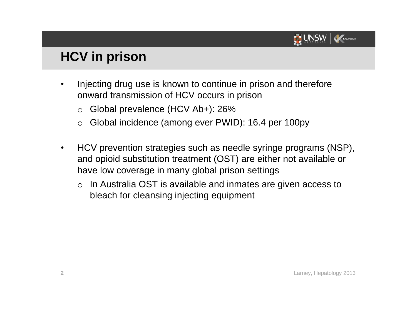

# **HCV in prison**

- Injecting drug use is known to continue in prison and therefore onward transmission of HCV occurs in prison
	- o Global prevalence (HCV Ab+): 26%
	- o Global incidence (among ever PWID): 16.4 per 100py
- HCV prevention strategies such as needle syringe programs (NSP), and opioid substitution treatment (OST) are either not available or have low coverage in many global prison settings
	- o In Australia OST is available and inmates are given access to bleach for cleansing injecting equipment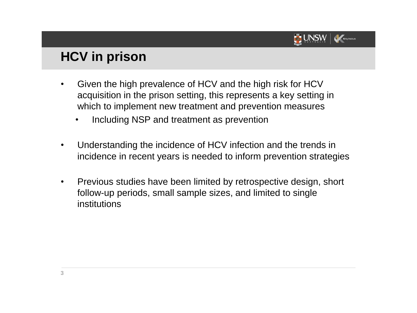

# **HCV in prison**

- Given the high prevalence of HCV and the high risk for HCV acquisition in the prison setting, this represents a key setting in which to implement new treatment and prevention measures
	- Including NSP and treatment as prevention
- Understanding the incidence of HCV infection and the trends in incidence in recent years is needed to inform prevention strategies
- Previous studies have been limited by retrospective design, short follow-up periods, small sample sizes, and limited to single institutions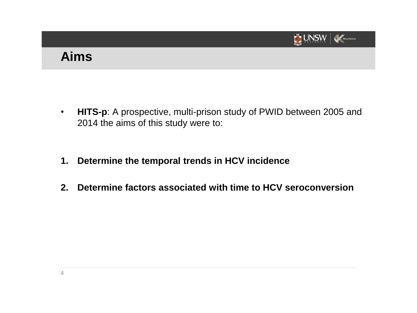

# **Aims**

- **HITS-p**: A prospective, multi-prison study of PWID between 2005 and 2014 the aims of this study were to:
- **1. Determine the temporal trends in HCV incidence**
- **2. Determine factors associated with time to HCV seroconversion**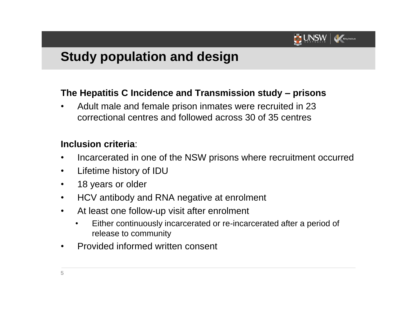

# **Study population and design**

#### **The Hepatitis C Incidence and Transmission study – prisons**

• Adult male and female prison inmates were recruited in 23 correctional centres and followed across 30 of 35 centres

#### **Inclusion criteria**:

- Incarcerated in one of the NSW prisons where recruitment occurred
- Lifetime history of IDU
- 18 years or older
- HCV antibody and RNA negative at enrolment
- At least one follow-up visit after enrolment
	- Either continuously incarcerated or re-incarcerated after a period of release to community
- Provided informed written consent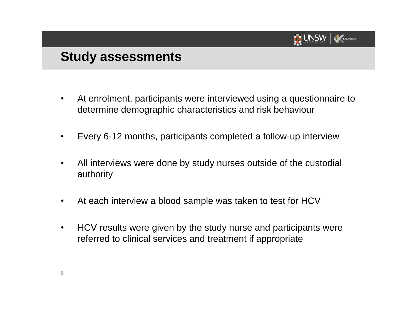

## **Study assessments**

- At enrolment, participants were interviewed using a questionnaire to determine demographic characteristics and risk behaviour
- Every 6-12 months, participants completed a follow-up interview
- All interviews were done by study nurses outside of the custodial authority
- At each interview a blood sample was taken to test for HCV
- HCV results were given by the study nurse and participants were referred to clinical services and treatment if appropriate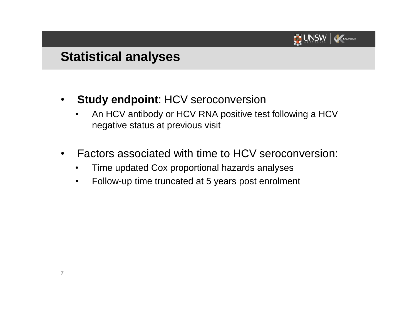

# **Statistical analyses**

- **Study endpoint**: HCV seroconversion
	- An HCV antibody or HCV RNA positive test following a HCV negative status at previous visit
- Factors associated with time to HCV seroconversion:
	- Time updated Cox proportional hazards analyses
	- Follow-up time truncated at 5 years post enrolment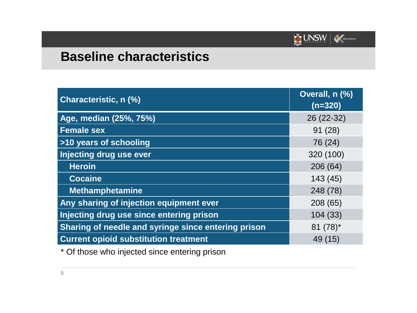

# **Baseline characteristics**

| <b>Characteristic, n (%)</b>                        | Overall, n (%)<br>$(n=320)$ |
|-----------------------------------------------------|-----------------------------|
| Age, median (25%, 75%)                              | 26 (22-32)                  |
| <b>Female sex</b>                                   | 91(28)                      |
| >10 years of schooling                              | 76 (24)                     |
| Injecting drug use ever                             | 320 (100)                   |
| <b>Heroin</b>                                       | 206(64)                     |
| <b>Cocaine</b>                                      | 143 (45)                    |
| <b>Methamphetamine</b>                              | 248(78)                     |
| Any sharing of injection equipment ever             | 208 (65)                    |
| Injecting drug use since entering prison            | 104(33)                     |
| Sharing of needle and syringe since entering prison | $81 (78)^*$                 |
| <b>Current opioid substitution treatment</b>        | 49 (15)                     |

\* Of those who injected since entering prison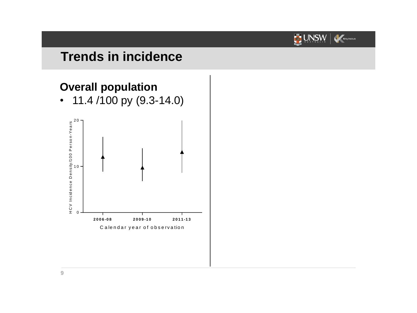

# **Trends in incidence**

### **Overall population**

• 11.4 /100 py (9.3-14.0)

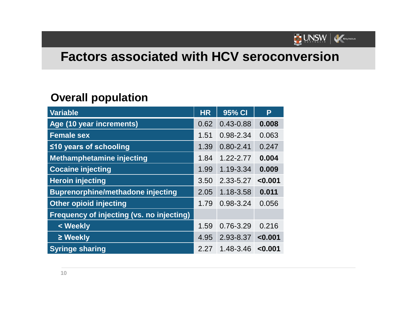

# **Factors associated with HCV seroconversion**

### **Overall population**

| Variable                                         | <b>HR</b> | 95% CI        | P       |
|--------------------------------------------------|-----------|---------------|---------|
| Age (10 year increments)                         | 0.62      | $0.43 - 0.88$ | 0.008   |
| <b>Female sex</b>                                | 1.51      | 0.98-2.34     | 0.063   |
| ≤10 years of schooling                           | 1.39      | $0.80 - 2.41$ | 0.247   |
| <b>Methamphetamine injecting</b>                 | 1.84      | $1.22 - 2.77$ | 0.004   |
| <b>Cocaine injecting</b>                         | 1.99      | 1.19-3.34     | 0.009   |
| <b>Heroin injecting</b>                          | 3.50      | 2.33-5.27     | < 0.001 |
| <b>Buprenorphine/methadone injecting</b>         | 2.05      | 1.18-3.58     | 0.011   |
| <b>Other opioid injecting</b>                    | 1.79      | $0.98 - 3.24$ | 0.056   |
| <b>Frequency of injecting (vs. no injecting)</b> |           |               |         |
| < Weekly                                         | 1.59      | $0.76 - 3.29$ | 0.216   |
| $\geq$ Weekly                                    | 4.95      | 2.93-8.37     | < 0.001 |
| <b>Syringe sharing</b>                           | 2.27      | 1.48-3.46     | < 0.001 |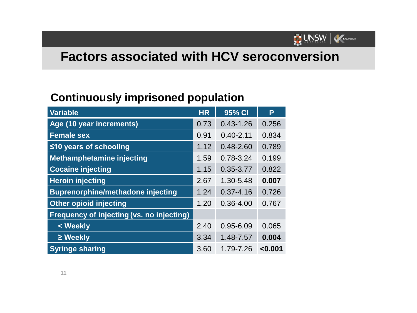

# **Factors associated with HCV seroconversion**

### **Continuously imprisoned population**

| Variable                                         | <b>HR</b> | 95% CI        | P       |
|--------------------------------------------------|-----------|---------------|---------|
| Age (10 year increments)                         | 0.73      | $0.43 - 1.26$ | 0.256   |
| <b>Female sex</b>                                | 0.91      | $0.40 - 2.11$ | 0.834   |
| $\leq$ 10 years of schooling                     | 1.12      | $0.48 - 2.60$ | 0.789   |
| Methamphetamine injecting                        | 1.59      | 0.78-3.24     | 0.199   |
| <b>Cocaine injecting</b>                         | 1.15      | $0.35 - 3.77$ | 0.822   |
| <b>Heroin injecting</b>                          | 2.67      | 1.30-5.48     | 0.007   |
| <b>Buprenorphine/methadone injecting</b>         | 1.24      | $0.37 - 4.16$ | 0.726   |
| <b>Other opioid injecting</b>                    | 1.20      | $0.36 - 4.00$ | 0.767   |
| <b>Frequency of injecting (vs. no injecting)</b> |           |               |         |
| < Weekly                                         | 2.40      | $0.95 - 6.09$ | 0.065   |
| $\geq$ Weekly                                    | 3.34      | 1.48-7.57     | 0.004   |
| <b>Syringe sharing</b>                           | 3.60      | 1.79-7.26     | < 0.001 |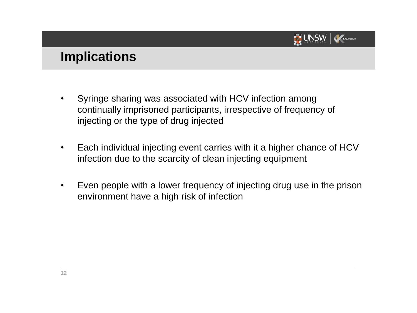

### **Implications**

- Syringe sharing was associated with HCV infection among continually imprisoned participants, irrespective of frequency of injecting or the type of drug injected
- Each individual injecting event carries with it a higher chance of HCV infection due to the scarcity of clean injecting equipment
- Even people with a lower frequency of injecting drug use in the prison environment have a high risk of infection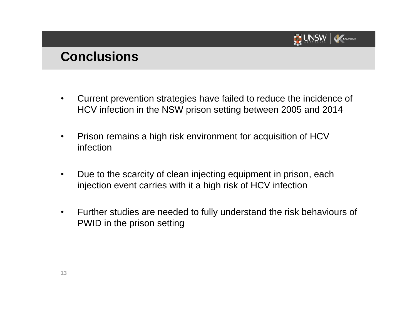

### **Conclusions**

- Current prevention strategies have failed to reduce the incidence of HCV infection in the NSW prison setting between 2005 and 2014
- Prison remains a high risk environment for acquisition of HCV infection
- Due to the scarcity of clean injecting equipment in prison, each injection event carries with it a high risk of HCV infection
- Further studies are needed to fully understand the risk behaviours of PWID in the prison setting